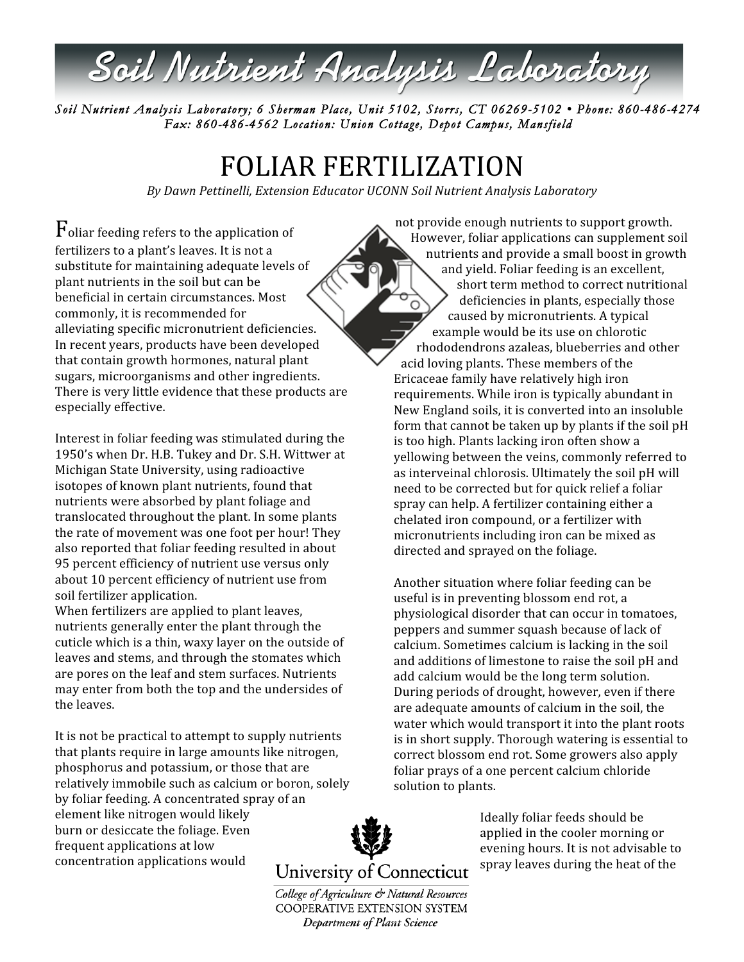

*Soil Nutrient Analysis Laboratory; 6 Sherman Place, Unit 5102, Storrs, CT 06269-5102 • Phone: 860-486-4274 Fax: 860-486-4562 Location: Union Cottage, Depot Campus, Mansfield* 

## FOLIAR FERTILIZATION

*By Dawn Pettinelli, Extension Educator UCONN Soil Nutrient Analysis Laboratory*

 $F_{\text{o}}$  feeding refers to the application of fertilizers to a plant's leaves. It is not a substitute for maintaining adequate levels of plant nutrients in the soil but can be beneficial in certain circumstances. Most commonly, it is recommended for alleviating specific micronutrient deficiencies. In recent years, products have been developed that contain growth hormones, natural plant sugars, microorganisms and other ingredients. There is very little evidence that these products are especially effective.

Interest in foliar feeding was stimulated during the 1950's when Dr. H.B. Tukey and Dr. S.H. Wittwer at Michigan State University, using radioactive isotopes of known plant nutrients, found that nutrients were absorbed by plant foliage and translocated throughout the plant. In some plants the rate of movement was one foot per hour! They also reported that foliar feeding resulted in about 95 percent efficiency of nutrient use versus only about 10 percent efficiency of nutrient use from soil fertilizer application.

When fertilizers are applied to plant leaves, nutrients generally enter the plant through the cuticle which is a thin, waxy layer on the outside of leaves and stems, and through the stomates which are pores on the leaf and stem surfaces. Nutrients may enter from both the top and the undersides of the leaves.

It is not be practical to attempt to supply nutrients that plants require in large amounts like nitrogen, phosphorus and potassium, or those that are relatively immobile such as calcium or boron, solely by foliar feeding. A concentrated spray of an element like nitrogen would likely burn or desiccate the foliage. Even frequent applications at low concentration applications would

not provide enough nutrients to support growth. However, foliar applications can supplement soil nutrients and provide a small boost in growth and yield. Foliar feeding is an excellent, short term method to correct nutritional deficiencies in plants, especially those caused by micronutrients. A typical example would be its use on chlorotic rhododendrons azaleas, blueberries and other acid loving plants. These members of the Ericaceae family have relatively high iron requirements. While iron is typically abundant in New England soils, it is converted into an insoluble form that cannot be taken up by plants if the soil pH is too high. Plants lacking iron often show a yellowing between the veins, commonly referred to as interveinal chlorosis. Ultimately the soil pH will need to be corrected but for quick relief a foliar spray can help. A fertilizer containing either a chelated iron compound, or a fertilizer with micronutrients including iron can be mixed as directed and sprayed on the foliage.

Another situation where foliar feeding can be useful is in preventing blossom end rot, a physiological disorder that can occur in tomatoes, peppers and summer squash because of lack of calcium. Sometimes calcium is lacking in the soil and additions of limestone to raise the soil pH and add calcium would be the long term solution. During periods of drought, however, even if there are adequate amounts of calcium in the soil, the water which would transport it into the plant roots is in short supply. Thorough watering is essential to correct blossom end rot. Some growers also apply foliar prays of a one percent calcium chloride solution to plants.



College of Agriculture & Natural Resources COOPERATIVE EXTENSION SYSTEM Department of Plant Science

Ideally foliar feeds should be applied in the cooler morning or evening hours. It is not advisable to spray leaves during the heat of the